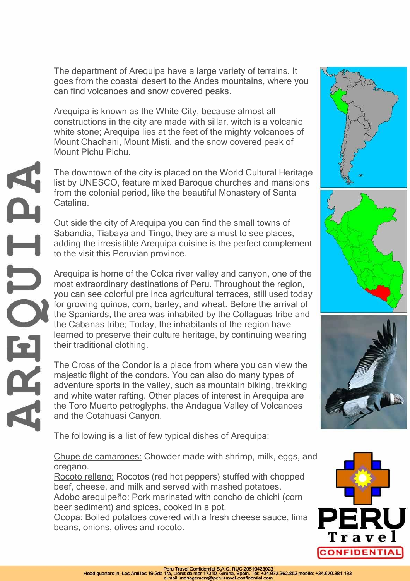The department of Arequipa have a large variety of terrains. It goes from the coastal desert to the Andes mountains, where you can find volcanoes and snow covered peaks.

Arequipa is known as the White City, because almost all constructions in the city are made with sillar, witch is a volcanic white stone; Arequipa lies at the feet of the mighty volcanoes of Mount Chachani, Mount Misti, and the snow covered peak of Mount Pichu Pichu.

The downtown of the city is placed on the World Cultural Heritage list by UNESCO, feature mixed Baroque churches and mansions from the colonial period, like the beautiful Monastery of Santa Catalina.

Out side the city of Arequipa you can find the small towns of Sabandía, Tiabaya and Tingo, they are a must to see places, adding the irresistible Arequipa cuisine is the perfect complement to the visit this Peruvian province.

Arequipa is home of the Colca river valley and canyon, one of the most extraordinary destinations of Peru. Throughout the region, you can see colorful pre inca agricultural terraces, still used today for growing quinoa, corn, barley, and wheat. Before the arrival of the Spaniards, the area was inhabited by the Collaguas tribe and the Cabanas tribe; Today, the inhabitants of the region have learned to preserve their culture heritage, by continuing wearing their traditional clothing.

The Cross of the Condor is a place from where you can view the majestic flight of the condors. You can also do many types of adventure sports in the valley, such as mountain biking, trekking and white water rafting. Other places of interest in Arequipa are the Toro Muerto petroglyphs, the Andagua Valley of Volcanoes and the Cotahuasi Canyon.

The following is a list of few typical dishes of Arequipa:

Chupe de camarones: Chowder made with shrimp, milk, eggs, and oregano.

Rocoto relleno: Rocotos (red hot peppers) stuffed with chopped beef, cheese, and milk and served with mashed potatoes. Adobo arequipeño: Pork marinated with concho de chichi (corn beer sediment) and spices, cooked in a pot.

Ocopa: Boiled potatoes covered with a fresh cheese sauce, lima beans, onions, olives and rocoto.









A.  $\overline{\phantom{0}}$ AR.